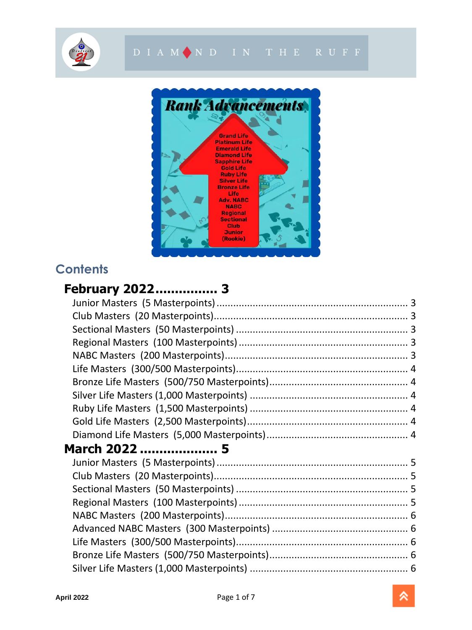





## **Contents**

## **[February 2022................](#page-2-0) 3**

| March 2022  5 |  |  |  |
|---------------|--|--|--|
|               |  |  |  |
|               |  |  |  |
|               |  |  |  |
|               |  |  |  |
|               |  |  |  |
|               |  |  |  |
|               |  |  |  |
|               |  |  |  |
|               |  |  |  |
|               |  |  |  |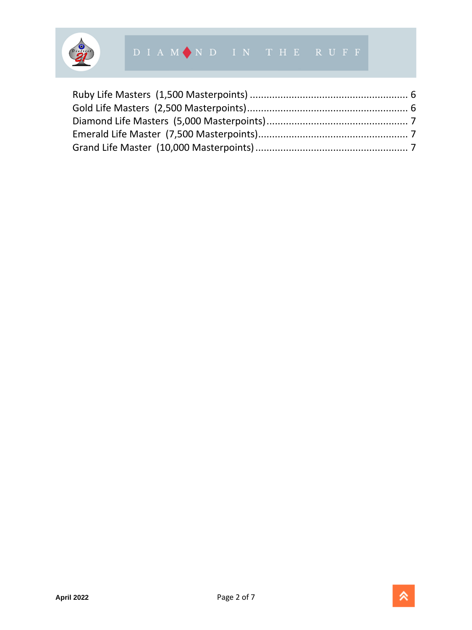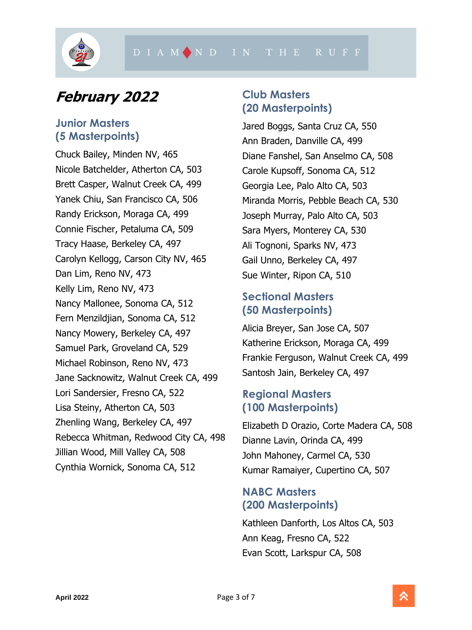

## <span id="page-2-0"></span>**February 2022**

#### <span id="page-2-1"></span>**Junior Masters (5 Masterpoints)**

Chuck Bailey, Minden NV, 465 Nicole Batchelder, Atherton CA, 503 Brett Casper, Walnut Creek CA, 499 Yanek Chiu, San Francisco CA, 506 Randy Erickson, Moraga CA, 499 Connie Fischer, Petaluma CA, 509 Tracy Haase, Berkeley CA, 497 Carolyn Kellogg, Carson City NV, 465 Dan Lim, Reno NV, 473 Kelly Lim, Reno NV, 473 Nancy Mallonee, Sonoma CA, 512 Fern Menzildjian, Sonoma CA, 512 Nancy Mowery, Berkeley CA, 497 Samuel Park, Groveland CA, 529 Michael Robinson, Reno NV, 473 Jane Sacknowitz, Walnut Creek CA, 499 Lori Sandersier, Fresno CA, 522 Lisa Steiny, Atherton CA, 503 Zhenling Wang, Berkeley CA, 497 Rebecca Whitman, Redwood City CA, 498 Jillian Wood, Mill Valley CA, 508 Cynthia Wornick, Sonoma CA, 512

## <span id="page-2-2"></span>**Club Masters (20 Masterpoints)**

Jared Boggs, Santa Cruz CA, 550 Ann Braden, Danville CA, 499 Diane Fanshel, San Anselmo CA, 508 Carole Kupsoff, Sonoma CA, 512 Georgia Lee, Palo Alto CA, 503 Miranda Morris, Pebble Beach CA, 530 Joseph Murray, Palo Alto CA, 503 Sara Myers, Monterey CA, 530 Ali Tognoni, Sparks NV, 473 Gail Unno, Berkeley CA, 497 Sue Winter, Ripon CA, 510

## <span id="page-2-3"></span>**Sectional Masters (50 Masterpoints)**

Alicia Breyer, San Jose CA, 507 Katherine Erickson, Moraga CA, 499 Frankie Ferguson, Walnut Creek CA, 499 Santosh Jain, Berkeley CA, 497

## <span id="page-2-4"></span>**Regional Masters (100 Masterpoints)**

Elizabeth D Orazio, Corte Madera CA, 508 Dianne Lavin, Orinda CA, 499 John Mahoney, Carmel CA, 530 Kumar Ramaiyer, Cupertino CA, 507

## <span id="page-2-5"></span>**NABC Masters (200 Masterpoints)**

Kathleen Danforth, Los Altos CA, 503 Ann Keag, Fresno CA, 522 Evan Scott, Larkspur CA, 508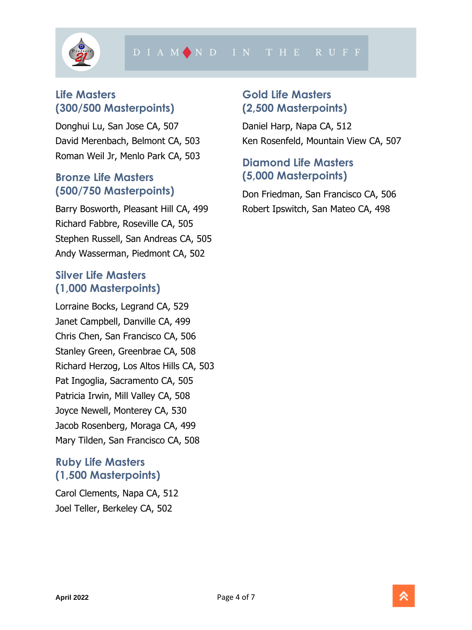

## <span id="page-3-0"></span>**Life Masters (300/500 Masterpoints)**

Donghui Lu, San Jose CA, 507 David Merenbach, Belmont CA, 503 Roman Weil Jr, Menlo Park CA, 503

#### <span id="page-3-1"></span>**Bronze Life Masters (500/750 Masterpoints)**

Barry Bosworth, Pleasant Hill CA, 499 Richard Fabbre, Roseville CA, 505 Stephen Russell, San Andreas CA, 505 Andy Wasserman, Piedmont CA, 502

#### <span id="page-3-2"></span>**Silver Life Masters (1,000 Masterpoints)**

Lorraine Bocks, Legrand CA, 529 Janet Campbell, Danville CA, 499 Chris Chen, San Francisco CA, 506 Stanley Green, Greenbrae CA, 508 Richard Herzog, Los Altos Hills CA, 503 Pat Ingoglia, Sacramento CA, 505 Patricia Irwin, Mill Valley CA, 508 Joyce Newell, Monterey CA, 530 Jacob Rosenberg, Moraga CA, 499 Mary Tilden, San Francisco CA, 508

## <span id="page-3-3"></span>**Ruby Life Masters (1,500 Masterpoints)**

Carol Clements, Napa CA, 512 Joel Teller, Berkeley CA, 502

## <span id="page-3-4"></span>**Gold Life Masters (2,500 Masterpoints)**

Daniel Harp, Napa CA, 512 Ken Rosenfeld, Mountain View CA, 507

#### <span id="page-3-5"></span>**Diamond Life Masters (5,000 Masterpoints)**

Don Friedman, San Francisco CA, 506 Robert Ipswitch, San Mateo CA, 498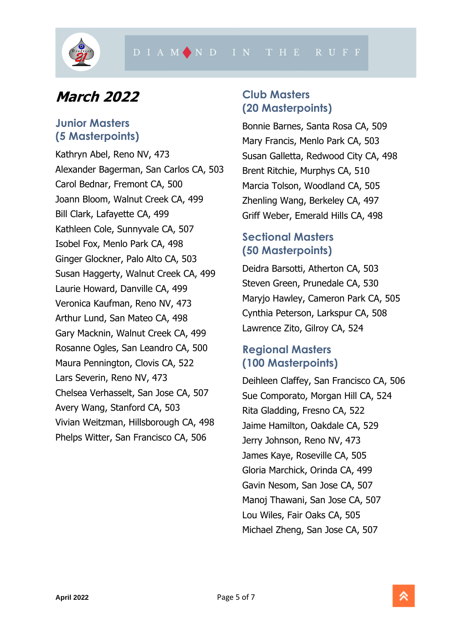

# <span id="page-4-0"></span>**March 2022**

#### <span id="page-4-1"></span>**Junior Masters (5 Masterpoints)**

Kathryn Abel, Reno NV, 473 Alexander Bagerman, San Carlos CA, 503 Carol Bednar, Fremont CA, 500 Joann Bloom, Walnut Creek CA, 499 Bill Clark, Lafayette CA, 499 Kathleen Cole, Sunnyvale CA, 507 Isobel Fox, Menlo Park CA, 498 Ginger Glockner, Palo Alto CA, 503 Susan Haggerty, Walnut Creek CA, 499 Laurie Howard, Danville CA, 499 Veronica Kaufman, Reno NV, 473 Arthur Lund, San Mateo CA, 498 Gary Macknin, Walnut Creek CA, 499 Rosanne Ogles, San Leandro CA, 500 Maura Pennington, Clovis CA, 522 Lars Severin, Reno NV, 473 Chelsea Verhasselt, San Jose CA, 507 Avery Wang, Stanford CA, 503 Vivian Weitzman, Hillsborough CA, 498 Phelps Witter, San Francisco CA, 506

## <span id="page-4-2"></span>**Club Masters (20 Masterpoints)**

Bonnie Barnes, Santa Rosa CA, 509 Mary Francis, Menlo Park CA, 503 Susan Galletta, Redwood City CA, 498 Brent Ritchie, Murphys CA, 510 Marcia Tolson, Woodland CA, 505 Zhenling Wang, Berkeley CA, 497 Griff Weber, Emerald Hills CA, 498

## <span id="page-4-3"></span>**Sectional Masters (50 Masterpoints)**

Deidra Barsotti, Atherton CA, 503 Steven Green, Prunedale CA, 530 Maryjo Hawley, Cameron Park CA, 505 Cynthia Peterson, Larkspur CA, 508 Lawrence Zito, Gilroy CA, 524

#### <span id="page-4-4"></span>**Regional Masters (100 Masterpoints)**

Deihleen Claffey, San Francisco CA, 506 Sue Comporato, Morgan Hill CA, 524 Rita Gladding, Fresno CA, 522 Jaime Hamilton, Oakdale CA, 529 Jerry Johnson, Reno NV, 473 James Kaye, Roseville CA, 505 Gloria Marchick, Orinda CA, 499 Gavin Nesom, San Jose CA, 507 Manoj Thawani, San Jose CA, 507 Lou Wiles, Fair Oaks CA, 505 Michael Zheng, San Jose CA, 507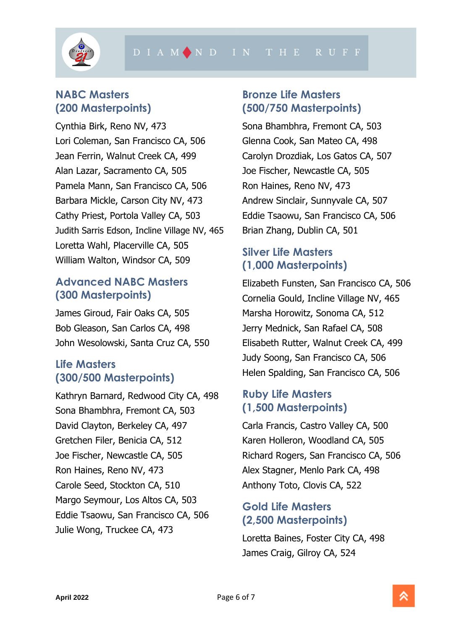

## <span id="page-5-0"></span>**NABC Masters (200 Masterpoints)**

Cynthia Birk, Reno NV, 473 Lori Coleman, San Francisco CA, 506 Jean Ferrin, Walnut Creek CA, 499 Alan Lazar, Sacramento CA, 505 Pamela Mann, San Francisco CA, 506 Barbara Mickle, Carson City NV, 473 Cathy Priest, Portola Valley CA, 503 Judith Sarris Edson, Incline Village NV, 465 Loretta Wahl, Placerville CA, 505 William Walton, Windsor CA, 509

#### <span id="page-5-1"></span>**Advanced NABC Masters (300 Masterpoints)**

James Giroud, Fair Oaks CA, 505 Bob Gleason, San Carlos CA, 498 John Wesolowski, Santa Cruz CA, 550

## <span id="page-5-2"></span>**Life Masters (300/500 Masterpoints)**

Kathryn Barnard, Redwood City CA, 498 Sona Bhambhra, Fremont CA, 503 David Clayton, Berkeley CA, 497 Gretchen Filer, Benicia CA, 512 Joe Fischer, Newcastle CA, 505 Ron Haines, Reno NV, 473 Carole Seed, Stockton CA, 510 Margo Seymour, Los Altos CA, 503 Eddie Tsaowu, San Francisco CA, 506 Julie Wong, Truckee CA, 473

#### <span id="page-5-3"></span>**Bronze Life Masters (500/750 Masterpoints)**

Sona Bhambhra, Fremont CA, 503 Glenna Cook, San Mateo CA, 498 Carolyn Drozdiak, Los Gatos CA, 507 Joe Fischer, Newcastle CA, 505 Ron Haines, Reno NV, 473 Andrew Sinclair, Sunnyvale CA, 507 Eddie Tsaowu, San Francisco CA, 506 Brian Zhang, Dublin CA, 501

## <span id="page-5-4"></span>**Silver Life Masters (1,000 Masterpoints)**

Elizabeth Funsten, San Francisco CA, 506 Cornelia Gould, Incline Village NV, 465 Marsha Horowitz, Sonoma CA, 512 Jerry Mednick, San Rafael CA, 508 Elisabeth Rutter, Walnut Creek CA, 499 Judy Soong, San Francisco CA, 506 Helen Spalding, San Francisco CA, 506

#### <span id="page-5-5"></span>**Ruby Life Masters (1,500 Masterpoints)**

Carla Francis, Castro Valley CA, 500 Karen Holleron, Woodland CA, 505 Richard Rogers, San Francisco CA, 506 Alex Stagner, Menlo Park CA, 498 Anthony Toto, Clovis CA, 522

## <span id="page-5-6"></span>**Gold Life Masters (2,500 Masterpoints)**

Loretta Baines, Foster City CA, 498 James Craig, Gilroy CA, 524